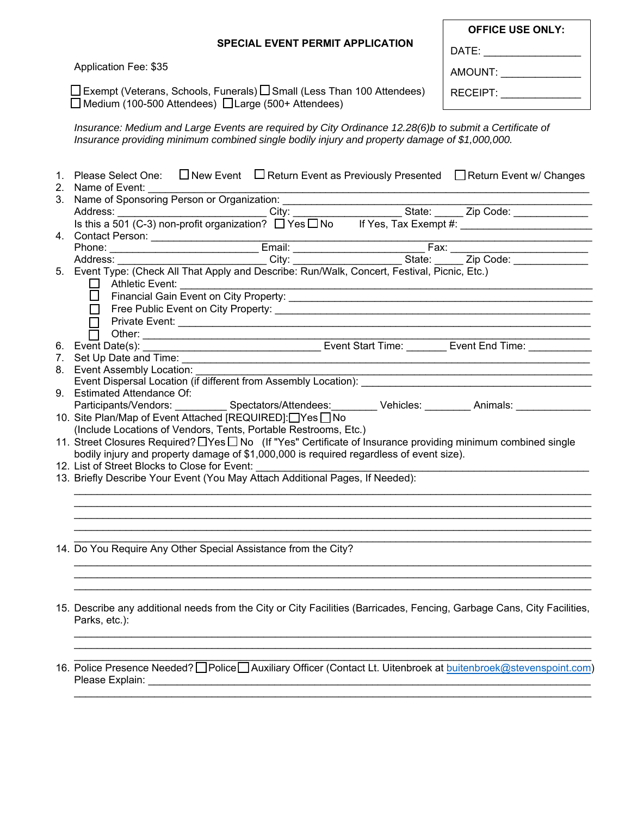| <b>OFFICE USE ONLY:</b> |  |  |  |  |  |  |
|-------------------------|--|--|--|--|--|--|
| DATE:                   |  |  |  |  |  |  |
| AMOUNT:                 |  |  |  |  |  |  |
| RECEIPT:                |  |  |  |  |  |  |

Application Fee: \$35

\_l Exempt (Veterans, Schools, Funerals) LL Small (Less Than 100 Attendees) ∃Medium (100-500 Attendees) LJLarge (500+ Attendees)

*Insurance: Medium and Large Events are required by City Ordinance 12.28(6)b to submit a Certificate of Insurance providing minimum combined single bodily injury and property damage of \$1,000,000.* 

|  | 1. Please Select One: □ New Event □ Return Event as Previously Presented □ Return Event w/ Changes                                                                                                                                  |  |  |  |  |  |  |  |
|--|-------------------------------------------------------------------------------------------------------------------------------------------------------------------------------------------------------------------------------------|--|--|--|--|--|--|--|
|  | 2. Name of Event:                                                                                                                                                                                                                   |  |  |  |  |  |  |  |
|  | 3. Name of Sponsoring Person or Organization:                                                                                                                                                                                       |  |  |  |  |  |  |  |
|  |                                                                                                                                                                                                                                     |  |  |  |  |  |  |  |
|  |                                                                                                                                                                                                                                     |  |  |  |  |  |  |  |
|  | <u> 1980 - Johann Barbara, martin a</u>                                                                                                                                                                                             |  |  |  |  |  |  |  |
|  |                                                                                                                                                                                                                                     |  |  |  |  |  |  |  |
|  | 4. Contact Person: Email: Email: Fax: Fax: Fax: Phone: Email: Email: Fax: City: Fax: City: Fax: City: Fax: City: Fax: City: Fax: City: Fax: City: Event Type: (Check All That Apply and Describe: Run/Walk, Concert, Festival,      |  |  |  |  |  |  |  |
|  |                                                                                                                                                                                                                                     |  |  |  |  |  |  |  |
|  |                                                                                                                                                                                                                                     |  |  |  |  |  |  |  |
|  |                                                                                                                                                                                                                                     |  |  |  |  |  |  |  |
|  |                                                                                                                                                                                                                                     |  |  |  |  |  |  |  |
|  |                                                                                                                                                                                                                                     |  |  |  |  |  |  |  |
|  |                                                                                                                                                                                                                                     |  |  |  |  |  |  |  |
|  |                                                                                                                                                                                                                                     |  |  |  |  |  |  |  |
|  | 0. Event Date(s): <u>■ Other: ■ Other: ■ Other: ■ Event Start Time: ■ Event Start Time: ■ Event End Time: ■ Event End Time: ■ Event End Time: ■ Event End Time: ■ Event End Time: ■ Event End Time: ■ Event End Time: ■ Event E</u> |  |  |  |  |  |  |  |
|  |                                                                                                                                                                                                                                     |  |  |  |  |  |  |  |
|  | 8. Event Assembly Location:                                                                                                                                                                                                         |  |  |  |  |  |  |  |
|  |                                                                                                                                                                                                                                     |  |  |  |  |  |  |  |
|  | 9. Estimated Attendance Of:                                                                                                                                                                                                         |  |  |  |  |  |  |  |
|  | Participants/Vendors: ___________ Spectators/Attendees: ________ Vehicles: ________ Animals: _____________                                                                                                                          |  |  |  |  |  |  |  |
|  | 10. Site Plan/Map of Event Attached [REQUIRED]:□Yes □ No                                                                                                                                                                            |  |  |  |  |  |  |  |
|  | (Include Locations of Vendors, Tents, Portable Restrooms, Etc.)                                                                                                                                                                     |  |  |  |  |  |  |  |
|  | 11. Street Closures Required? IYes I No (If "Yes" Certificate of Insurance providing minimum combined single                                                                                                                        |  |  |  |  |  |  |  |
|  | bodily injury and property damage of \$1,000,000 is required regardless of event size).                                                                                                                                             |  |  |  |  |  |  |  |
|  | 12. List of Street Blocks to Close for Event:                                                                                                                                                                                       |  |  |  |  |  |  |  |
|  | 13. Briefly Describe Your Event (You May Attach Additional Pages, If Needed):                                                                                                                                                       |  |  |  |  |  |  |  |
|  |                                                                                                                                                                                                                                     |  |  |  |  |  |  |  |
|  |                                                                                                                                                                                                                                     |  |  |  |  |  |  |  |
|  |                                                                                                                                                                                                                                     |  |  |  |  |  |  |  |
|  |                                                                                                                                                                                                                                     |  |  |  |  |  |  |  |
|  |                                                                                                                                                                                                                                     |  |  |  |  |  |  |  |
|  | 14. Do You Require Any Other Special Assistance from the City?                                                                                                                                                                      |  |  |  |  |  |  |  |
|  |                                                                                                                                                                                                                                     |  |  |  |  |  |  |  |
|  |                                                                                                                                                                                                                                     |  |  |  |  |  |  |  |
|  |                                                                                                                                                                                                                                     |  |  |  |  |  |  |  |
|  |                                                                                                                                                                                                                                     |  |  |  |  |  |  |  |
|  | 15. Describe any additional needs from the City or City Facilities (Barricades, Fencing, Garbage Cans, City Facilities,                                                                                                             |  |  |  |  |  |  |  |
|  | Parks, etc.):                                                                                                                                                                                                                       |  |  |  |  |  |  |  |
|  |                                                                                                                                                                                                                                     |  |  |  |  |  |  |  |
|  |                                                                                                                                                                                                                                     |  |  |  |  |  |  |  |
|  |                                                                                                                                                                                                                                     |  |  |  |  |  |  |  |
|  | 16. Police Presence Needed? Police Auxiliary Officer (Contact Lt. Uitenbroek at buitenbroek@stevenspoint.com)                                                                                                                       |  |  |  |  |  |  |  |
|  | Please Explain:                                                                                                                                                                                                                     |  |  |  |  |  |  |  |
|  |                                                                                                                                                                                                                                     |  |  |  |  |  |  |  |
|  |                                                                                                                                                                                                                                     |  |  |  |  |  |  |  |